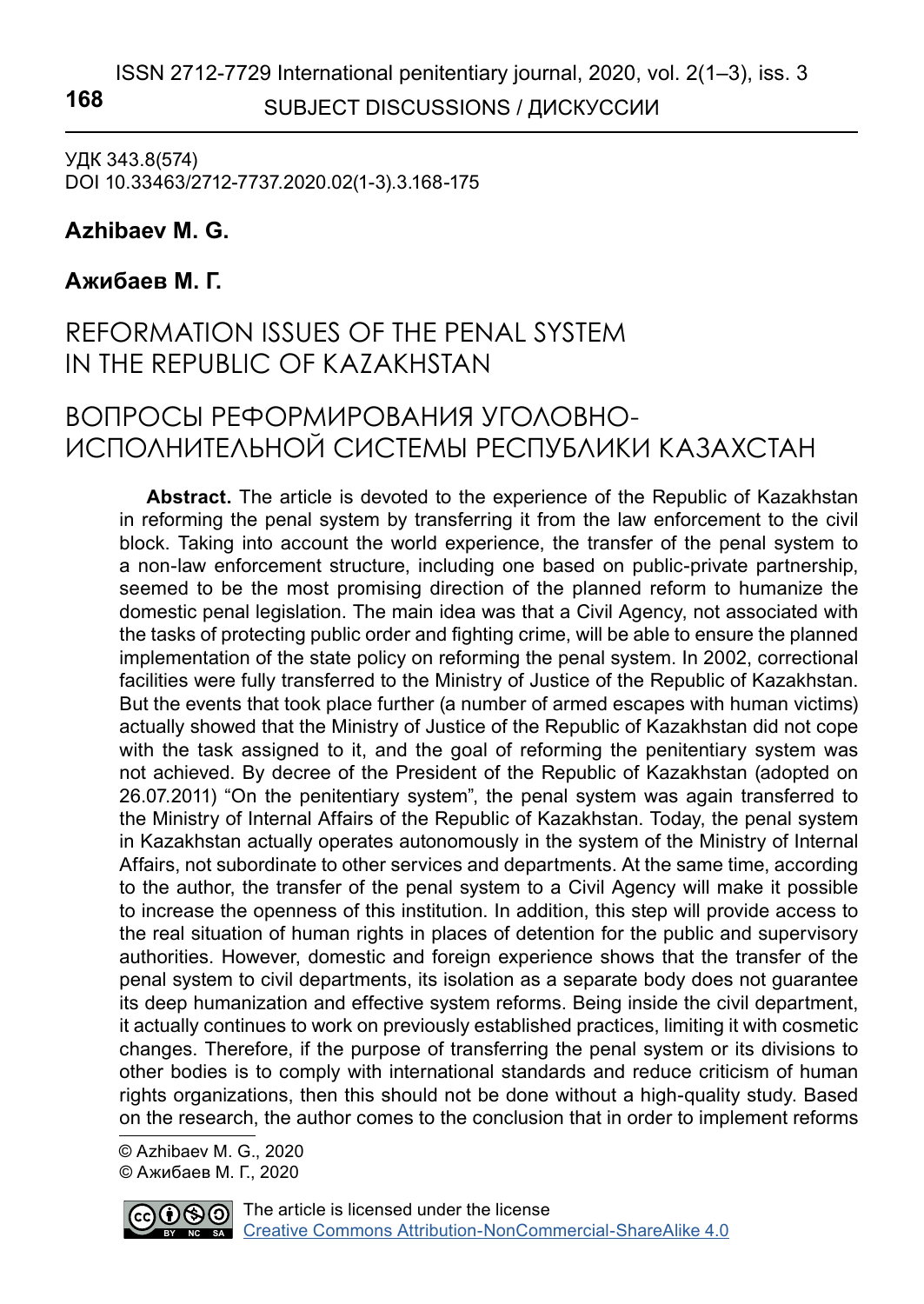## ISSN 2712-7729 International penitentiary journal, 2020, vol. 2(1–3), iss. 3 SUBJECT DISCUSSIONS / ДИСКУССИИ **168**

УДК 343.8(574) DOI 10.33463/2712-7737.2020.02(1-3).3.168-175

### **Azhibaev M. G.1**

### **Ажибаев М. Г.**

# REFORMATION ISSUES OF THE PENAL SYSTEM IN THE REPUBLIC OF KAZAKHSTAN

## ВОПРОСЫ РЕФОРМИРОВАНИЯ УГОЛОВНО-ИСПОЛНИТЕЛЬНОЙ СИСТЕМЫ РЕСПУБЛИКИ КАЗАХСТАН

**Abstract.** The article is devoted to the experience of the Republic of Kazakhstan in reforming the penal system by transferring it from the law enforcement to the civil block. Taking into account the world experience, the transfer of the penal system to a non-law enforcement structure, including one based on public-private partnership, seemed to be the most promising direction of the planned reform to humanize the domestic penal legislation. The main idea was that a Civil Agency, not associated with the tasks of protecting public order and fighting crime, will be able to ensure the planned implementation of the state policy on reforming the penal system. In 2002, correctional facilities were fully transferred to the Ministry of Justice of the Republic of Kazakhstan. But the events that took place further (a number of armed escapes with human victims) actually showed that the Ministry of Justice of the Republic of Kazakhstan did not cope with the task assigned to it, and the goal of reforming the penitentiary system was not achieved. By decree of the President of the Republic of Kazakhstan (adopted on 26.07.2011) "On the penitentiary system", the penal system was again transferred to the Ministry of Internal Affairs of the Republic of Kazakhstan. Today, the penal system in Kazakhstan actually operates autonomously in the system of the Ministry of Internal Affairs, not subordinate to other services and departments. At the same time, according to the author, the transfer of the penal system to a Civil Agency will make it possible to increase the openness of this institution. In addition, this step will provide access to the real situation of human rights in places of detention for the public and supervisory authorities. However, domestic and foreign experience shows that the transfer of the penal system to civil departments, its isolation as a separate body does not guarantee its deep humanization and effective system reforms. Being inside the civil department, it actually continues to work on previously established practices, limiting it with cosmetic changes. Therefore, if the purpose of transferring the penal system or its divisions to other bodies is to comply with international standards and reduce criticism of human rights organizations, then this should not be done without a high-quality study. Based on the research, the author comes to the conclusion that in order to implement reforms

 © Azhibaev M. G., 2020 © Ажибаев М. Г., 2020

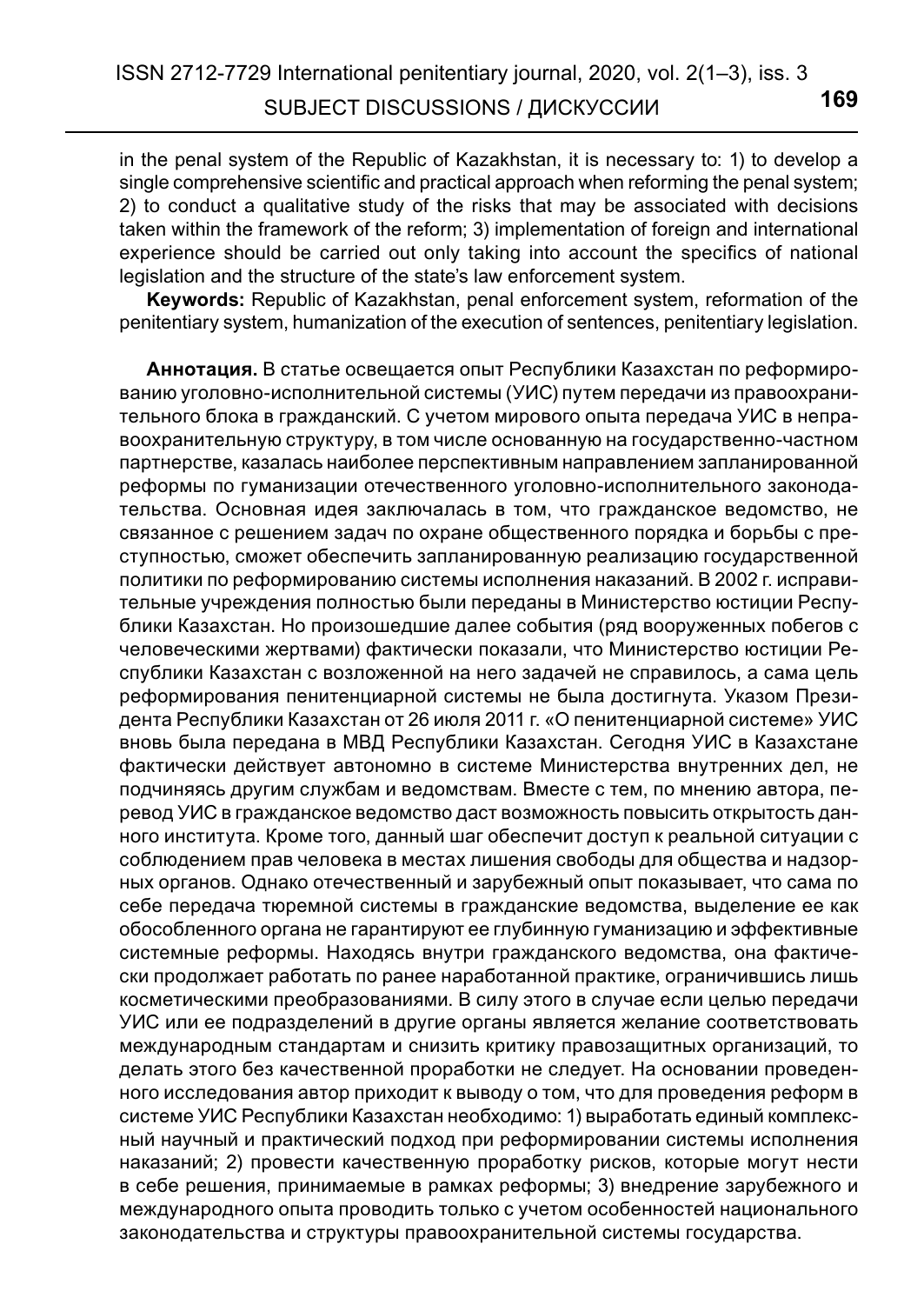in the penal system of the Republic of Kazakhstan, it is necessary to: 1) to develop a single comprehensive scientific and practical approach when reforming the penal system; 2) to conduct a qualitative study of the risks that may be associated with decisions taken within the framework of the reform; 3) implementation of foreign and international experience should be carried out only taking into account the specifics of national legislation and the structure of the state's law enforcement system.

**Keywords:** Republic of Kazakhstan, penal enforcement system, reformation of the penitentiary system, humanization of the execution of sentences, penitentiary legislation.

**Аннотация.** В статье освещается опыт Республики Казахстан по реформированию уголовно-исполнительной системы (УИС) путем передачи из правоохранительного блока в гражданский. С учетом мирового опыта передача УИС в неправоохранительную структуру, в том числе основанную на государственно-частном партнерстве, казалась наиболее перспективным направлением запланированной реформы по гуманизации отечественного уголовно-исполнительного законодательства. Основная идея заключалась в том, что гражданское ведомство, не связанное с решением задач по охране общественного порядка и борьбы с преступностью, сможет обеспечить запланированную реализацию государственной политики по реформированию системы исполнения наказаний. В 2002 г. исправительные учреждения полностью были переданы в Министерство юстиции Республики Казахстан. Но произошедшие далее события (ряд вооруженных побегов с человеческими жертвами) фактически показали, что Министерство юстиции Республики Казахстан с возложенной на него задачей не справилось, а сама цель реформирования пенитенциарной системы не была достигнута. Указом Президента Республики Казахстан от 26 июля 2011 г. «О пенитенциарной системе» УИС вновь была передана в МВД Республики Казахстан. Сегодня УИС в Казахстане фактически действует автономно в системе Министерства внутренних дел, не подчиняясь другим службам и ведомствам. Вместе с тем, по мнению автора, перевод УИС в гражданское ведомство даст возможность повысить открытость данного института. Кроме того, данный шаг обеспечит доступ к реальной ситуации с соблюдением прав человека в местах лишения свободы для общества и надзорных органов. Однако отечественный и зарубежный опыт показывает, что сама по себе передача тюремной системы в гражданские ведомства, выделение ее как обособленного органа не гарантируют ее глубинную гуманизацию и эффективные системные реформы. Находясь внутри гражданского ведомства, она фактически продолжает работать по ранее наработанной практике, ограничившись лишь косметическими преобразованиями. В силу этого в случае если целью передачи УИС или ее подразделений в другие органы является желание соответствовать международным стандартам и снизить критику правозащитных организаций, то делать этого без качественной проработки не следует. На основании проведенного исследования автор приходит к выводу о том, что для проведения реформ в системе УИС Республики Казахстан необходимо: 1) выработать единый комплексный научный и практический подход при реформировании системы исполнения наказаний; 2) провести качественную проработку рисков, которые могут нести в себе решения, принимаемые в рамках реформы; 3) внедрение зарубежного и международного опыта проводить только с учетом особенностей национального законодательства и структуры правоохранительной системы государства.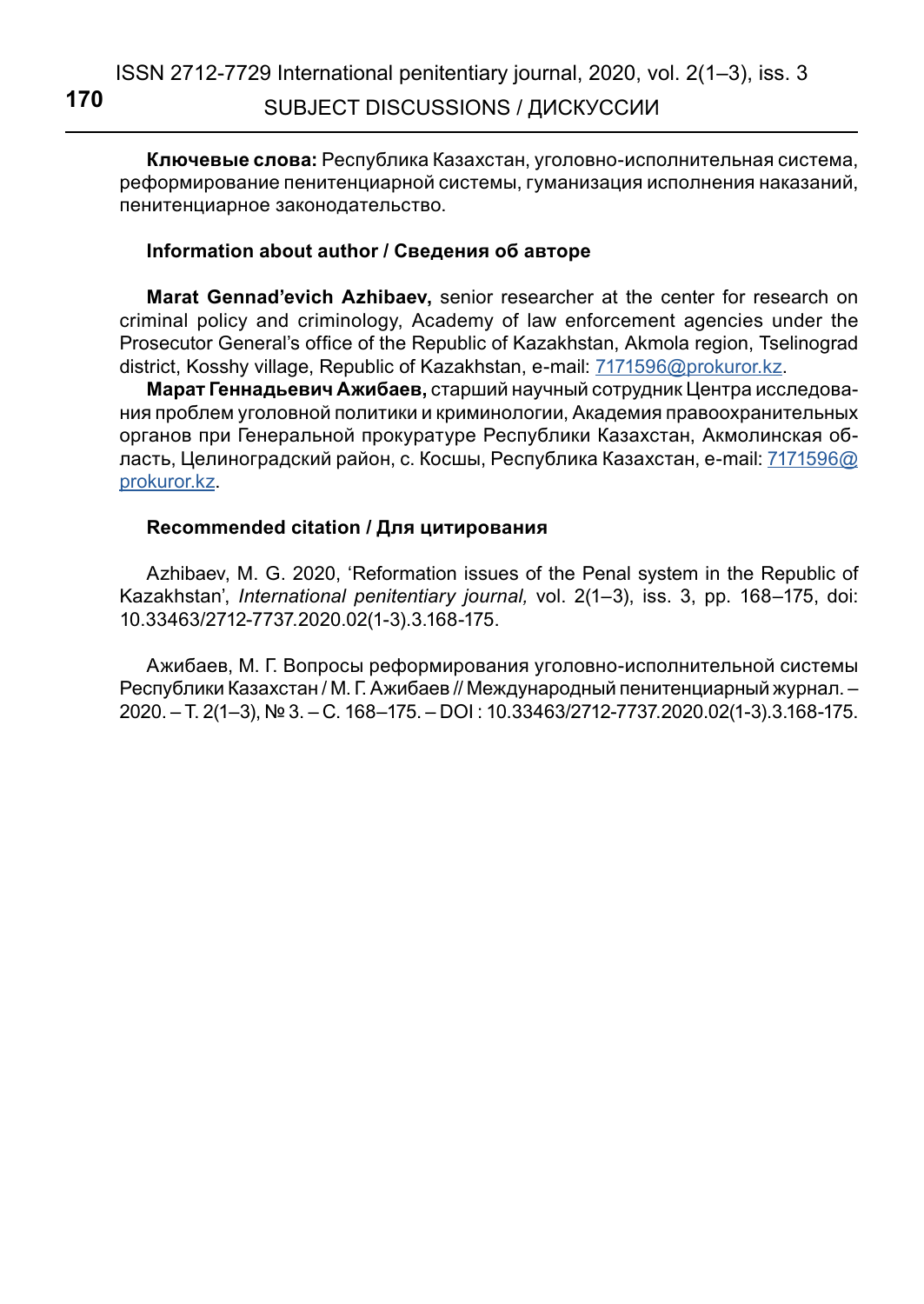**Ключевые слова:** Республика Казахстан, уголовно-исполнительная система, реформирование пенитенциарной системы, гуманизация исполнения наказаний, пенитенциарное законодательство.

### **Information about author / Сведения об авторе**

**Marat Gennad'evich Azhibaev,** senior researcher at the center for research on criminal policy and criminology, Academy of law enforcement agencies under the Prosecutor General's office of the Republic of Kazakhstan, Akmola region, Tselinograd district, Kosshy village, Republic of Kazakhstan, e-mail: [7171596@prokuror.kz](mailto:7171596%40prokuror.kz?subject=).

**Марат Геннадьевич Ажибаев,** старший научный сотрудник Центра исследования проблем уголовной политики и криминологии, Академия правоохранительных органов при Генеральной прокуратуре Республики Казахстан, Акмолинская об-ласть, Целиноградский район, с. Косшы, Республика Казахстан, e-mail: [7171596@](mailto:7171596%40prokuror.kz?subject=) [prokuror.kz](mailto:7171596%40prokuror.kz?subject=).

### **Recommended citation / Для цитирования**

Azhibaev, M. G. 2020, 'Reformation issues of the Penal system in the Republic of Kazakhstan', *International penitentiary journal,* vol. 2(1–3), iss. 3, pp. 168–175, doi: 10.33463/2712-7737.2020.02(1-3).3.168-175.

Ажибаев, М. Г. Вопросы реформирования уголовно-исполнительной системы Республики Казахстан / М. Г. Ажибаев // Международный пенитенциарный журнал. – 2020. – Т. 2(1–3), № 3. – С. 168–175. – DOI : 10.33463/2712-7737.2020.02(1-3).3.168-175.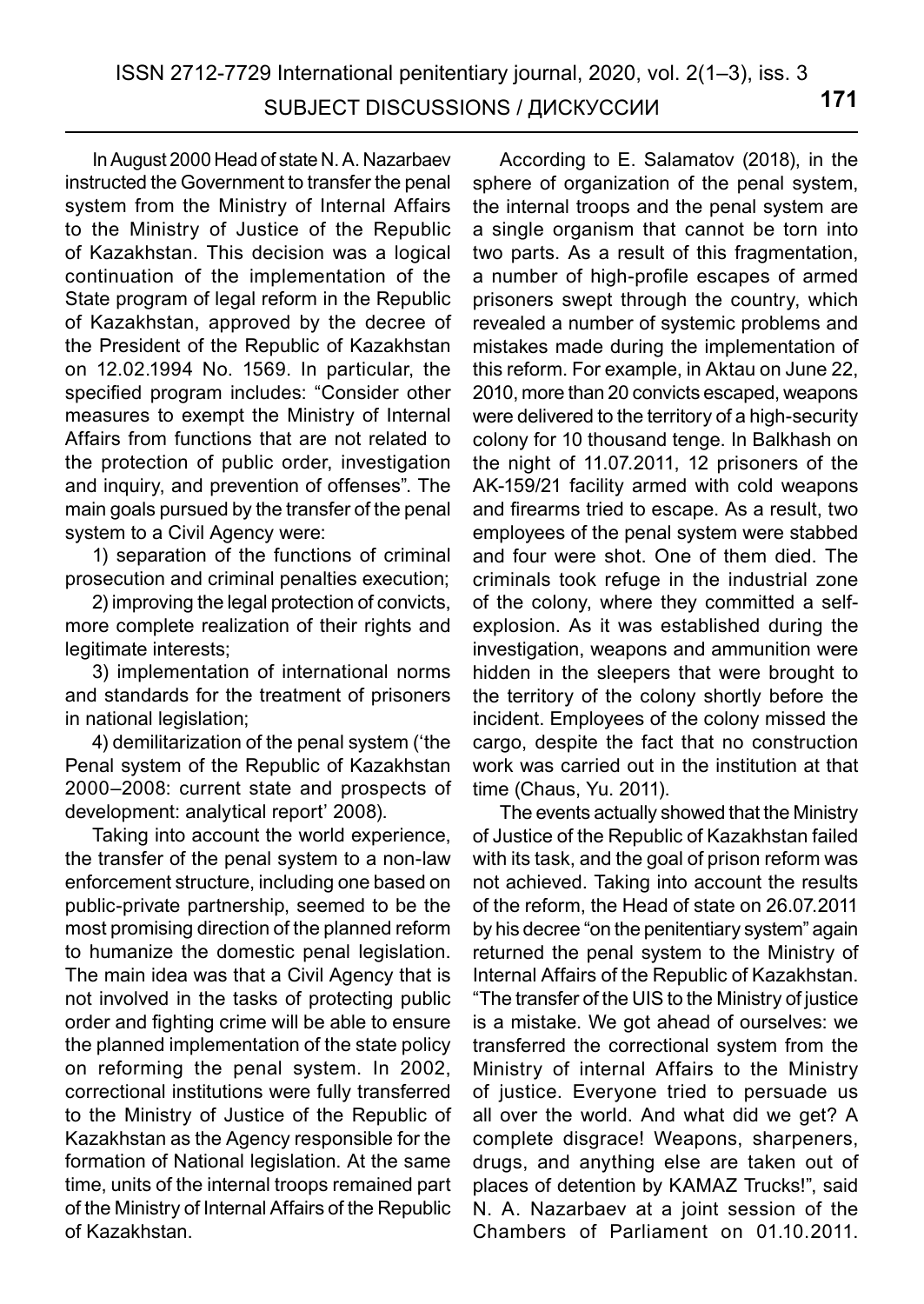In August 2000 Head of state N. A. Nazarbaev instructed the Government to transfer the penal system from the Ministry of Internal Affairs to the Ministry of Justice of the Republic of Kazakhstan. This decision was a logical continuation of the implementation of the State program of legal reform in the Republic of Kazakhstan, approved by the decree of the President of the Republic of Kazakhstan on 12.02.1994 No. 1569. In particular, the specified program includes: "Consider other measures to exempt the Ministry of Internal Affairs from functions that are not related to the protection of public order, investigation and inquiry, and prevention of offenses". The main goals pursued by the transfer of the penal system to a Civil Agency were:

1) separation of the functions of criminal prosecution and criminal penalties execution;

2) improving the legal protection of convicts, more complete realization of their rights and legitimate interests;

3) implementation of international norms and standards for the treatment of prisoners in national legislation;

4) demilitarization of the penal system ('the Penal system of the Republic of Kazakhstan 2000–2008: current state and prospects of development: analytical report' 2008).

Taking into account the world experience, the transfer of the penal system to a non-law enforcement structure, including one based on public-private partnership, seemed to be the most promising direction of the planned reform to humanize the domestic penal legislation. The main idea was that a Civil Agency that is not involved in the tasks of protecting public order and fighting crime will be able to ensure the planned implementation of the state policy on reforming the penal system. In 2002, correctional institutions were fully transferred to the Ministry of Justice of the Republic of Kazakhstan as the Agency responsible for the formation of National legislation. At the same time, units of the internal troops remained part of the Ministry of Internal Affairs of the Republic of Kazakhstan.

According to E. Salamatov (2018), in the sphere of organization of the penal system, the internal troops and the penal system are a single organism that cannot be torn into two parts. As a result of this fragmentation, a number of high-profile escapes of armed prisoners swept through the country, which revealed a number of systemic problems and mistakes made during the implementation of this reform. For example, in Aktau on June 22, 2010, more than 20 convicts escaped, weapons were delivered to the territory of a high-security colony for 10 thousand tenge. In Balkhash on the night of 11.07.2011, 12 prisoners of the AK-159/21 facility armed with cold weapons and firearms tried to escape. As a result, two employees of the penal system were stabbed and four were shot. One of them died. The criminals took refuge in the industrial zone of the colony, where they committed a selfexplosion. As it was established during the investigation, weapons and ammunition were hidden in the sleepers that were brought to the territory of the colony shortly before the incident. Employees of the colony missed the cargo, despite the fact that no construction work was carried out in the institution at that time (Chaus, Yu. 2011).

The events actually showed that the Ministry of Justice of the Republic of Kazakhstan failed with its task, and the goal of prison reform was not achieved. Taking into account the results of the reform, the Head of state on 26.07.2011 by his decree "on the penitentiary system" again returned the penal system to the Ministry of Internal Affairs of the Republic of Kazakhstan. "The transfer of the UIS to the Ministry of justice is a mistake. We got ahead of ourselves: we transferred the correctional system from the Ministry of internal Affairs to the Ministry of justice. Everyone tried to persuade us all over the world. And what did we get? A complete disgrace! Weapons, sharpeners, drugs, and anything else are taken out of places of detention by KAMAZ Trucks!", said N. A. Nazarbaev at a joint session of the Chambers of Parliament on 01.10.2011.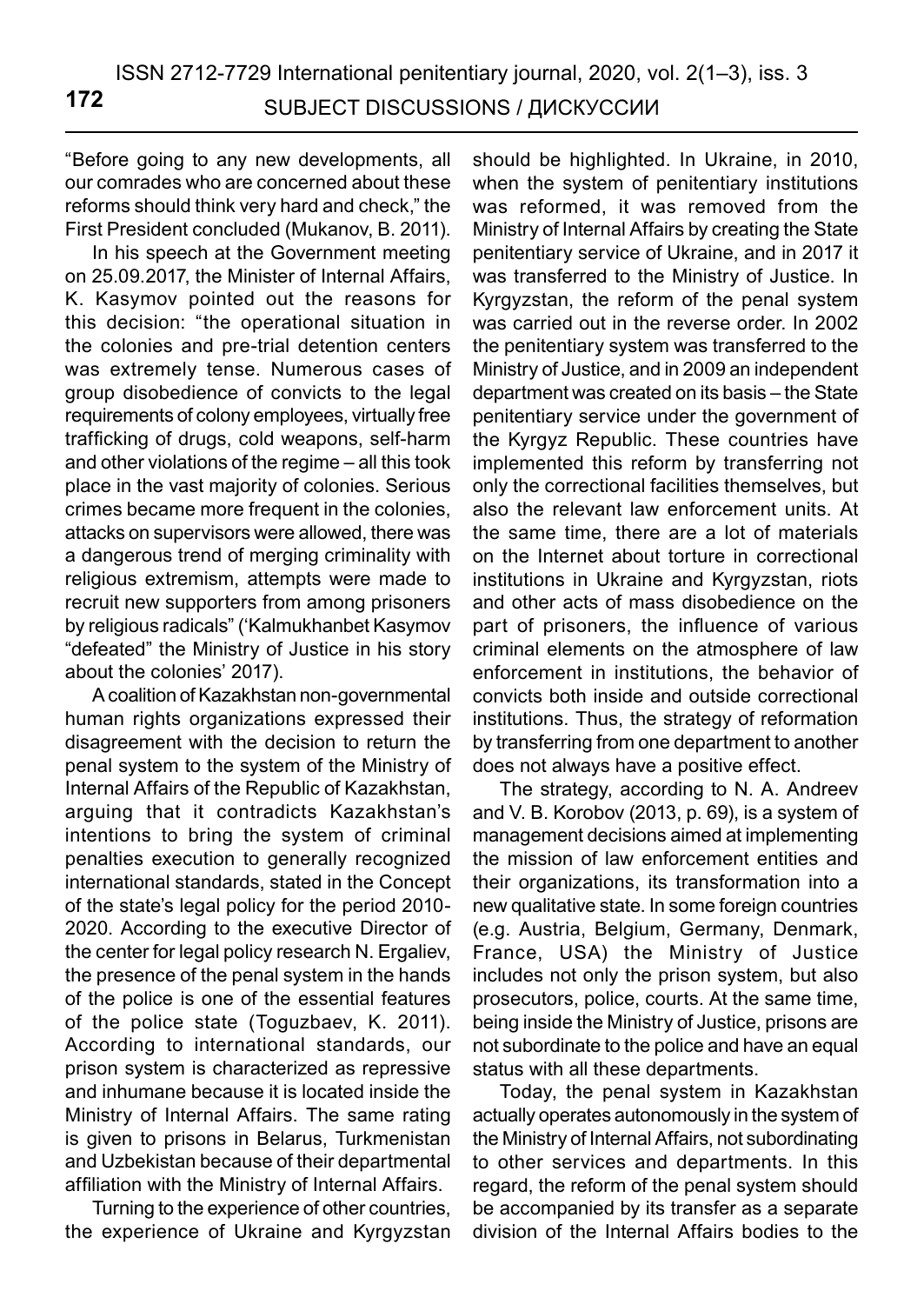"Before going to any new developments, all our comrades who are concerned about these reforms should think very hard and check," the First President concluded (Mukanov, B. 2011).

In his speech at the Government meeting on 25.09.2017, the Minister of Internal Affairs, K. Kasymov pointed out the reasons for this decision: "the operational situation in the colonies and pre-trial detention centers was extremely tense. Numerous cases of group disobedience of convicts to the legal requirements of colony employees, virtually free trafficking of drugs, cold weapons, self-harm and other violations of the regime – all this took place in the vast majority of colonies. Serious crimes became more frequent in the colonies, attacks on supervisors were allowed, there was a dangerous trend of merging criminality with religious extremism, attempts were made to recruit new supporters from among prisoners by religious radicals" ('Kalmukhanbet Kasymov "defeated" the Ministry of Justice in his story about the colonies' 2017).

A coalition of Kazakhstan non-governmental human rights organizations expressed their disagreement with the decision to return the penal system to the system of the Ministry of Internal Affairs of the Republic of Kazakhstan, arguing that it contradicts Kazakhstan's intentions to bring the system of criminal penalties execution to generally recognized international standards, stated in the Concept of the state's legal policy for the period 2010- 2020. According to the executive Director of the center for legal policy research N. Ergaliev, the presence of the penal system in the hands of the police is one of the essential features of the police state (Toguzbaev, K. 2011). According to international standards, our prison system is characterized as repressive and inhumane because it is located inside the Ministry of Internal Affairs. The same rating is given to prisons in Belarus, Turkmenistan and Uzbekistan because of their departmental affiliation with the Ministry of Internal Affairs.

Turning to the experience of other countries, the experience of Ukraine and Kyrgyzstan should be highlighted. In Ukraine, in 2010, when the system of penitentiary institutions was reformed, it was removed from the Ministry of Internal Affairs by creating the State penitentiary service of Ukraine, and in 2017 it was transferred to the Ministry of Justice. In Kyrgyzstan, the reform of the penal system was carried out in the reverse order. In 2002 the penitentiary system was transferred to the Ministry of Justice, and in 2009 an independent department was created on its basis – the State penitentiary service under the government of the Kyrgyz Republic. These countries have implemented this reform by transferring not only the correctional facilities themselves, but also the relevant law enforcement units. At the same time, there are a lot of materials on the Internet about torture in correctional institutions in Ukraine and Kyrgyzstan, riots and other acts of mass disobedience on the part of prisoners, the influence of various criminal elements on the atmosphere of law enforcement in institutions, the behavior of convicts both inside and outside correctional institutions. Thus, the strategy of reformation by transferring from one department to another does not always have a positive effect.

The strategy, according to N. A. Andreev and V. B. Korobov (2013, p. 69), is a system of management decisions aimed at implementing the mission of law enforcement entities and their organizations, its transformation into a new qualitative state. In some foreign countries (e.g. Austria, Belgium, Germany, Denmark, France, USA) the Ministry of Justice includes not only the prison system, but also prosecutors, police, courts. At the same time, being inside the Ministry of Justice, prisons are not subordinate to the police and have an equal status with all these departments.

Today, the penal system in Kazakhstan actually operates autonomously in the system of the Ministry of Internal Affairs, not subordinating to other services and departments. In this regard, the reform of the penal system should be accompanied by its transfer as a separate division of the Internal Affairs bodies to the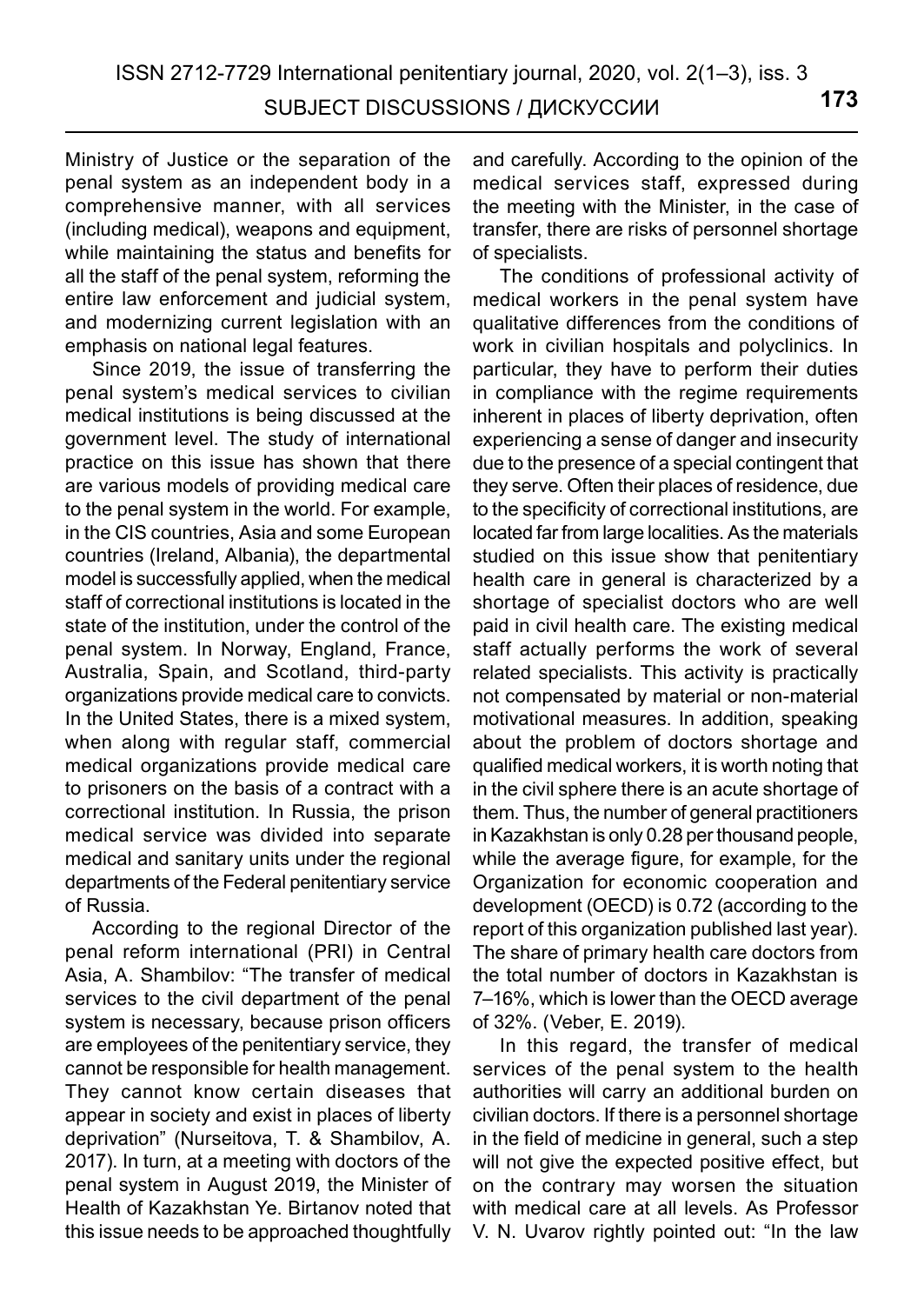Ministry of Justice or the separation of the penal system as an independent body in a comprehensive manner, with all services (including medical), weapons and equipment, while maintaining the status and benefits for all the staff of the penal system, reforming the entire law enforcement and judicial system, and modernizing current legislation with an emphasis on national legal features.

Since 2019, the issue of transferring the penal system's medical services to civilian medical institutions is being discussed at the government level. The study of international practice on this issue has shown that there are various models of providing medical care to the penal system in the world. For example, in the CIS countries, Asia and some European countries (Ireland, Albania), the departmental model is successfully applied, when the medical staff of correctional institutions is located in the state of the institution, under the control of the penal system. In Norway, England, France, Australia, Spain, and Scotland, third-party organizations provide medical care to convicts. In the United States, there is a mixed system, when along with regular staff, commercial medical organizations provide medical care to prisoners on the basis of a contract with a correctional institution. In Russia, the prison medical service was divided into separate medical and sanitary units under the regional departments of the Federal penitentiary service of Russia.

According to the regional Director of the penal reform international (PRI) in Central Asia, A. Shambilov: "The transfer of medical services to the civil department of the penal system is necessary, because prison officers are employees of the penitentiary service, they cannot be responsible for health management. They cannot know certain diseases that appear in society and exist in places of liberty deprivation" (Nurseitova, T. & Shambilov, A. 2017). In turn, at a meeting with doctors of the penal system in August 2019, the Minister of Health of Kazakhstan Ye. Birtanov noted that this issue needs to be approached thoughtfully and carefully. According to the opinion of the medical services staff, expressed during the meeting with the Minister, in the case of transfer, there are risks of personnel shortage of specialists.

The conditions of professional activity of medical workers in the penal system have qualitative differences from the conditions of work in civilian hospitals and polyclinics. In particular, they have to perform their duties in compliance with the regime requirements inherent in places of liberty deprivation, often experiencing a sense of danger and insecurity due to the presence of a special contingent that they serve. Often their places of residence, due to the specificity of correctional institutions, are located far from large localities. As the materials studied on this issue show that penitentiary health care in general is characterized by a shortage of specialist doctors who are well paid in civil health care. The existing medical staff actually performs the work of several related specialists. This activity is practically not compensated by material or non-material motivational measures. In addition, speaking about the problem of doctors shortage and qualified medical workers, it is worth noting that in the civil sphere there is an acute shortage of them. Thus, the number of general practitioners in Kazakhstan is only 0.28 per thousand people, while the average figure, for example, for the Organization for economic cooperation and development (OECD) is 0.72 (according to the report of this organization published last year). The share of primary health care doctors from the total number of doctors in Kazakhstan is 7–16%, which is lower than the OECD average of 32%. (Veber, E. 2019).

In this regard, the transfer of medical services of the penal system to the health authorities will carry an additional burden on civilian doctors. If there is a personnel shortage in the field of medicine in general, such a step will not give the expected positive effect, but on the contrary may worsen the situation with medical care at all levels. As Professor V. N. Uvarov rightly pointed out: "In the law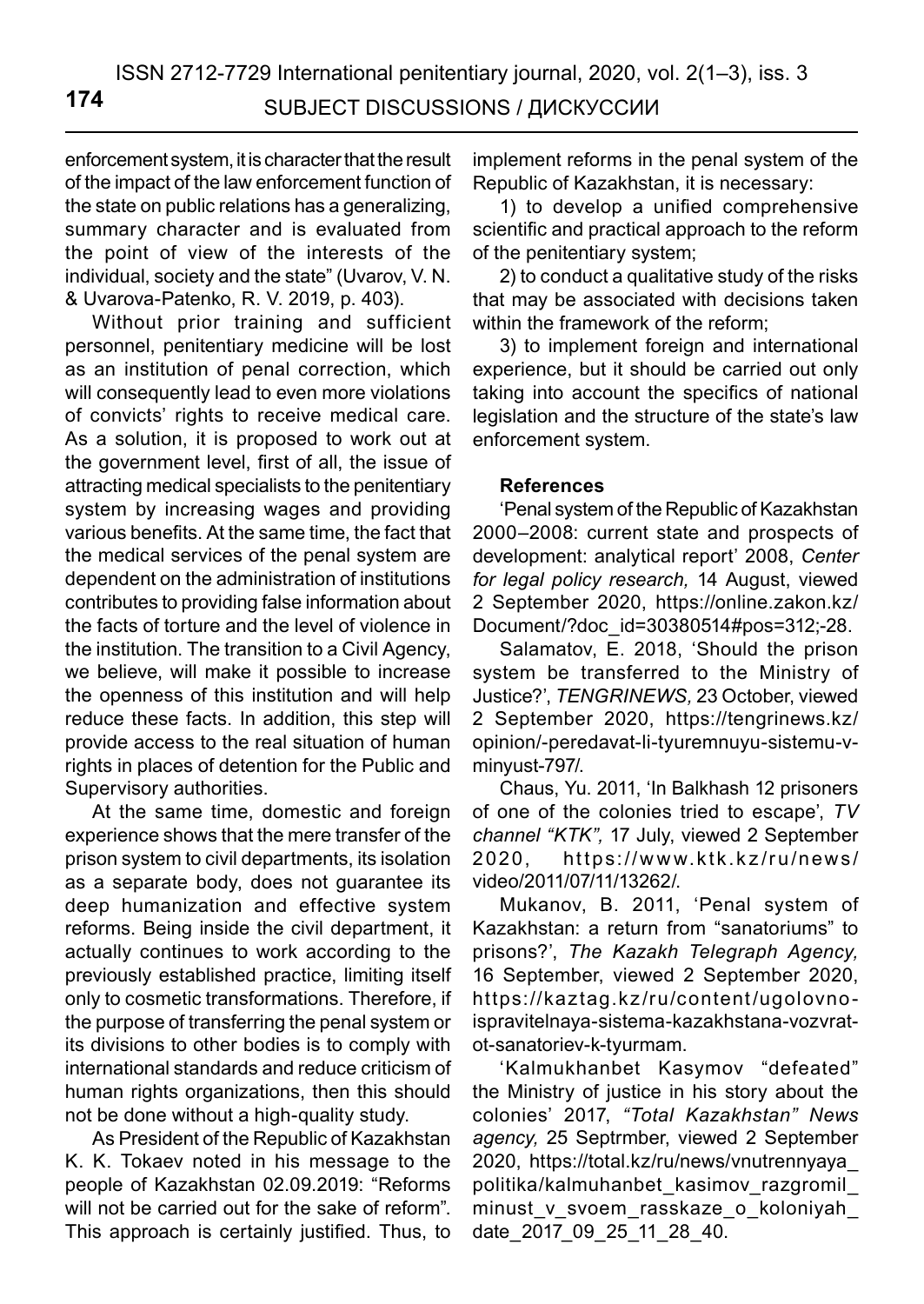enforcement system, it is character that the result of the impact of the law enforcement function of the state on public relations has a generalizing, summary character and is evaluated from the point of view of the interests of the individual, society and the state" (Uvarov, V. N. & Uvarova-Patenko, R. V. 2019, p. 403).

Without prior training and sufficient personnel, penitentiary medicine will be lost as an institution of penal correction, which will consequently lead to even more violations of convicts' rights to receive medical care. As a solution, it is proposed to work out at the government level, first of all, the issue of attracting medical specialists to the penitentiary system by increasing wages and providing various benefits. At the same time, the fact that the medical services of the penal system are dependent on the administration of institutions contributes to providing false information about the facts of torture and the level of violence in the institution. The transition to a Civil Agency, we believe, will make it possible to increase the openness of this institution and will help reduce these facts. In addition, this step will provide access to the real situation of human rights in places of detention for the Public and Supervisory authorities.

At the same time, domestic and foreign experience shows that the mere transfer of the prison system to civil departments, its isolation as a separate body, does not guarantee its deep humanization and effective system reforms. Being inside the civil department, it actually continues to work according to the previously established practice, limiting itself only to cosmetic transformations. Therefore, if the purpose of transferring the penal system or its divisions to other bodies is to comply with international standards and reduce criticism of human rights organizations, then this should not be done without a high-quality study.

As President of the Republic of Kazakhstan K. K. Tokaev noted in his message to the people of Kazakhstan 02.09.2019: "Reforms will not be carried out for the sake of reform". This approach is certainly justified. Thus, to implement reforms in the penal system of the Republic of Kazakhstan, it is necessary:

1) to develop a unified comprehensive scientific and practical approach to the reform of the penitentiary system;

2) to conduct a qualitative study of the risks that may be associated with decisions taken within the framework of the reform;

3) to implement foreign and international experience, but it should be carried out only taking into account the specifics of national legislation and the structure of the state's law enforcement system.

### **References**

'Penal system of the Republic of Kazakhstan 2000–2008: current state and prospects of development: analytical report' 2008, *Center for legal policy research,* 14 August, viewed 2 September 2020, https://online.zakon.kz/ Document/?doc\_id=30380514#pos=312;-28.

Salamatov, E. 2018, 'Should the prison system be transferred to the Ministry of Justice?', *TENGRINEWS,* 23 October, viewed 2 September 2020, https://tengrinews.kz/ opinion/-peredavat-li-tyuremnuyu-sistemu-vminyust-797/.

Chaus, Yu. 2011, 'In Balkhash 12 prisoners of one of the colonies tried to escape', *TV channel "KTK",* 17 July, viewed 2 September 2020, https://www.ktk.kz/ru/news/ video/2011/07/11/13262/.

Mukanov, B. 2011, 'Penal system of Kazakhstan: a return from "sanatoriums" to prisons?', *The Kazakh Telegraph Agency,*  16 September, viewed 2 September 2020, https://kaztag.kz/ru/content/ugolovnoispravitelnaya-sistema-kazakhstana-vozvratot-sanatoriev-k-tyurmam.

'Kalmukhanbet Kasymov "defeated" the Ministry of justice in his story about the colonies' 2017, *"Total Kazakhstan" News agency,* 25 Septrmber, viewed 2 September 2020, https://total.kz/ru/news/vnutrennyaya\_ politika/kalmuhanbet\_kasimov\_razgromil\_ minust\_v\_svoem\_rasskaze\_o\_koloniyah\_ date\_2017\_09\_25\_11\_28\_40.